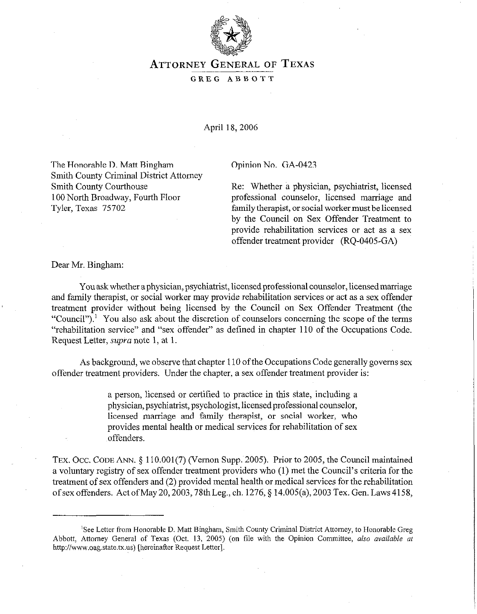

## **ATTORNEY GENERAL OF TEXAS**

GREG ABBOTT

## **April 18, 2006**

The Honorable D. Matt Bingham Smith County Criminal District Attorney Smith County Courthouse 100 North Broadway, Fourth Floor Tyler, Texas 75702

Opinion No. GA-0423

Re: Whether a physician, psychiatrist, licensed professional counselor, licensed marriage and family therapist, or social worker must be licensed by the Council on Sex Offender Treatment to provide rehabilitation services or act as a sex offender treatment provider (RQ-0405-GA)

Dear Mr. Bingham:

You ask whether a physician, psychiatrist, licensed professional counselor, licensed marriage and family therapist, or social worker may provide rehabilitation services or act as a sex offender treatment provider without being licensed by the Council on Sex Offender Treatment (the "Council").<sup>1</sup> You also ask about the discretion of counselors concerning the scope of the terms "rehabilitation service" and "sex offender" as defined in chapter 110 of the Occupations Code. Request Letter, *supra* note 1, at 1.

As background, we observe that chapter  $110$  of the Occupations Code generally governs sex offender treatment providers. Under the chapter, a sex offender treatment provider is:

> a person, licensed or certified to practice in this state, including a physician, psychiatrist, psychologist, licensed professional counselor, licensed marriage and family therapist, or social worker, who provides mental health or medical services for rehabilitation of sex offenders.

TEX. OCC. CODE ANN.  $\S$  110.001(7) (Vernon Supp. 2005). Prior to 2005, the Council maintained a voluntary registry of sex offender treatment providers who (1) met the Council's criteria for the treatment of sex offenders and (2) provided mental health or medical services for the rehabilitation of sex offenders. Act of May 20, 2003, 78th Leg., ch. 1276, § 14.005(a), 2003 Tex. Gen. Laws 4158,

<sup>&#</sup>x27;See Letter from Honorable D. Matt Bingham, Smith County Criminal District Attorney, to Honorable Greg Abbott, Attorney General of Texas (Oct. 13, 2005) (on file with the Opinion Committee, also available at http://www.oag.state.tx.us) [hereinafter Request Letter].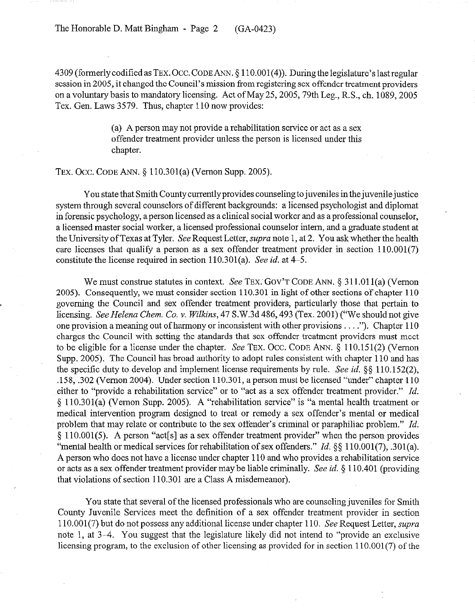The Honorable D. Matt Bingham - Page 2 (GA-0423)

4309 (formerly codified as TEX. OCC. CODE ANN.  $\S$  110.001(4)). During the legislature's last regular session in 2005, it changed the Council's mission from registering sex offender treatment providers on a voluntary basis to mandatory licensing. Act of May 25,2005,79th Leg., R.S., ch. 1089,2005 Tex. Gen. Laws 3579. Thus, chapter 110 now provides:

> (a) A person may not provide a rehabilitation service or act as a sex offender treatment provider unless the person is licensed under this chapter.

TEX. OCC. CODE ANN. § 110.301(a) (Vernon Supp. 2005).

You state that Smith County currently provides counseling to juveniles in the juvenile justice system through several counselors of different backgrounds: a licensed psychologist and diplomat in forensic psychology, a person licensed as a clinical social worker and as a professional counselor, a licensed master social worker, a licensed professional counselor intern, and a graduate student at the University of Texas at Tyler. See Request Letter, supra note 1, at 2. You ask whether the health care licenses that qualify a person as a sex offender treatment provider in section 110.001(7) constitute the license required in section 110.301(a). See *id.* at 4-5.

We must construe statutes in context. See TEX. GOV'T CODE ANN. § 311.011(a) (Vernon 2005). Consequently, we must consider section 110.301 in light of other sections of chapter 110 governing the Council and sex offender treatment providers, particularly those that pertain to licensing. See *Helena Chem. Co.* v. *Wilkins,* 47 S.W.3d 486,493 (Tex. 2001) ("We should not give one provision a meaning out of harmony or inconsistent with other provisions  $\dots$ "). Chapter 110 charges the Council with setting the standards that sex offender treatment providers must meet to be eligible for a license under the chapter. See TEX. Occ. CODE ANN.  $\S$  110.151(2) (Vernon Supp. 2005). The Council has broad authority to adopt rules consistent with chapter 110 and has the specific duty to develop and implement license requirements by rule. See *id. 55* 110.152(2), ,158, ,302 (Vernon 2004). Under section 110.301, a person must be licensed "under" chapter 110 either to "provide a rehabilitation service" or to "act as a sex offender treatment provider." *Id.*  5 110.301(a) (Vernon Supp. 2005). A "rehabilitation service" is "a mental health treatment or medical intervention program designed to treat or remedy a sex offender's mental or medical problem that may relate or contribute to the sex offender's criminal or paraphiliac problem." *Id.*   $§ 110.001(5)$ . A person "act[s] as a sex offender treatment provider" when the person provides "mental health or medical services for rehabilitation of sex offenders." *Id. \$5* 110.001(7), .301(a). A person who does not have a license under chapter 110 and who provides a rehabilitation service or acts as a sex offender treatment provider may be liable criminally. See *id.* 5 110.401 (providing that violations of section 110.301 are a Class A misdemeanor).

You state that several of the licensed professionals who are counseling juveniles for Smith County Juvenile Services meet the definition of a sex offender treatment provider in section 110.001(7) but do not possess any additional license under chapter 110. See Request Letter, supra note 1, at 3–4. You suggest that the legislature likely did not intend to "provide an exclusive licensing program, to the exclusion of other licensing as provided for in section 110.001(7) of the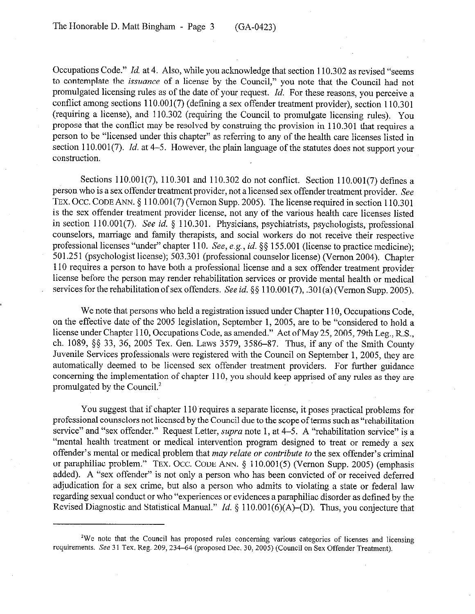Occupations Code." *Id.* at 4. Also, while you acknowledge that section 110.302 as revised "seems to contemplate the *issuance* of a license by the Council," you note that the Council had not promulgated licensing rules as of the date of your request. *Id.* For these reasons, you perceive a conflict among sections 110.001(7) (defining a sex offender treatment provider), section 110.301 (requiring a license), and 110.302 (requiring the Council to promulgate licensing rules). You propose that the conflict may be resolved by construing the provision in 110.301 that requires a person to be "licensed under this chapter" as referring to any of the health care licenses listed in section 110.001(7). *Id.* at 4–5. However, the plain language of the statutes does not support your construction.

Sections 110.001(7), 110.301 and 110.302 do not conflict. Section 110.001(7) defines a person who is a sex offender treatment provider, not a licensed sex offender treatment provider. See TEX. OCC. CODE ANN.  $\S 110.001(7)$  (Vernon Supp. 2005). The license required in section 110.301 is the sex offender treatment provider license, not any of the various health care licenses listed in section 110.001(7). See id. § 110.301. Physicians, psychiatrists, psychologists, professional counselors, marriage and family therapists, and social workers do not receive their respective professional licenses "under" chapter 110. See, e.g., *id.* \$5 155.001 (license to practice medicine); 501.25 1 (psychologist license); 503.301 (professional counselor license) (Vernon 2004). Chapter 110 requires a person to have both a professional license and a sex offender treatment provider license before the person may render rehabilitation services or provide mental health or medical services for the rehabilitation of sex offenders. See *id.* §§ 110.001(7), .301(a) (Vernon Supp. 2005).

We note that persons who held a registration issued under Chapter 110, Occupations Code, on the effective date of the 2005 legislation, September 1, 2005, are to be "considered to hold a license under Chapter 110, Occupations Code, as amended." Act of May 25, 2005, 79th Leg., R.S., ch. 1089, \$3 33, 36, 2005 Tex. Gen. Laws 3579, 3586-87. Thus, if any of the Smith County Juvenile Services professionals were registered with the Council on September 1, 2005, they are automatically deemed to be licensed sex offender treatment providers. For further guidance concerning the implementation of chapter 110, you should keep apprised of any rules as they are promulgated by the Council. $2$ 

You suggest that if chapter 110 requires a separate license, it poses practical problems for professional counselors not licensed by the Council due to the scope of terms such as "rehabilitation service" and "sex offender." Request Letter, *supra* note 1, at 4–5. A "rehabilitation service" is a "mental health treatment or medical intervention program designed to treat or remedy a sex offender's mental or medical problem that *may relate or contribute to* the sex offender's criminal or paraphiliac problem." **TEX. OCC. CODE** ANN. 3 110.001(5) (Vernon Supp. 2005) (emphasis added). A "sex offender" is not only a person who has been convicted of or received deferred adjudication for a sex crime, but also a person who admits to violating a state or federal law regarding sexual conduct or who "experiences or evidences a paraphiliac disorder as defined by the Revised Diagnostic and Statistical Manual." *Id.* § 110.001(6)(A)-(D). Thus, you conjecture that

<sup>&</sup>lt;sup>2</sup>We note that the Council has proposed rules concerning various categories of licenses and licensing requirements. See 31 Tex. Reg. 209,234-64 (proposed Dec. 30,200s) (Council on Sex Offender Treatment).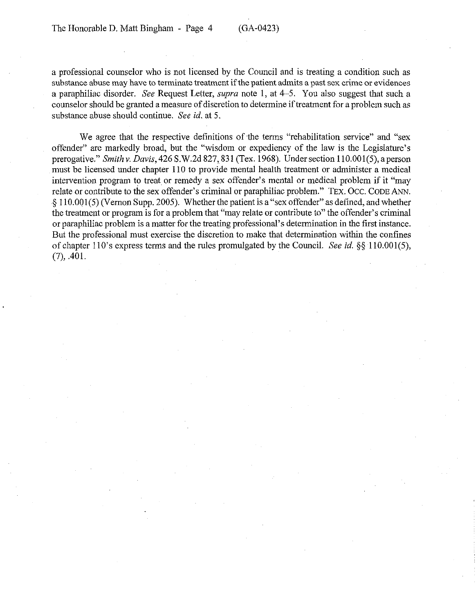a professional counselor who is not licensed by the Council and is treating a condition such as substance abuse may have to terminate treatment if the patient admits a past sex crime or evidences a paraphiliac disorder. See Request Letter, supra note 1, at 4-5. You also suggest that such a counselor should be granted a measure of discretion to determine if treatment for a problem such as substance abuse should continue. See *id.* at 5.

We agree that the respective definitions of the terms "rehabilitation service" and "sex offender" are markedly broad, but the "wisdom or expediency of the law is the Legislature's prerogative." Smith v. Davis,  $426$  S.W.2d 827, 831 (Tex. 1968). Under section 110.001(5), a person must be licensed under chapter 110 to provide mental health treatment or administer a medical intervention program to treat or remedy a sex offender's mental or medical problem if it "may relate or contribute to the sex offender's criminal or paraphiliac problem." TEX. **OCC. CODE ANN.**   $\S$  110.001(5) (Vernon Supp. 2005). Whether the patient is a "sex offender" as defined, and whether the treatment or program is for a problem that "may relate or contribute to" the offender's criminal or paraphiliac problem is a matter for the treating professional's determination in the first instance. But the professional must exercise the discretion to make that determination within the confines of chapter 110's express terms and the rules promulgated by the Council. See *id.* § § 110.001(5),  $(7), .401.$